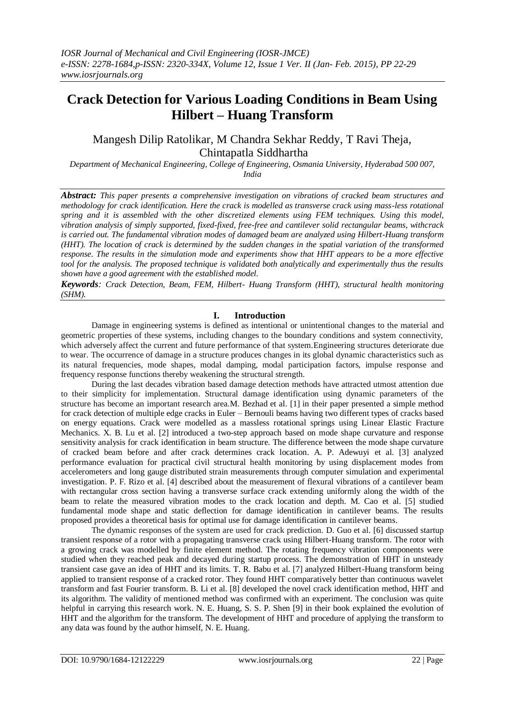# **Crack Detection for Various Loading Conditions in Beam Using Hilbert – Huang Transform**

Mangesh Dilip Ratolikar, M Chandra Sekhar Reddy, T Ravi Theja, Chintapatla Siddhartha

*Department of Mechanical Engineering, College of Engineering, Osmania University, Hyderabad 500 007, India*

*Abstract: This paper presents a comprehensive investigation on vibrations of cracked beam structures and methodology for crack identification. Here the crack is modelled as transverse crack using mass-less rotational spring and it is assembled with the other discretized elements using FEM techniques. Using this model, vibration analysis of simply supported, fixed-fixed, free-free and cantilever solid rectangular beams, withcrack is carried out. The fundamental vibration modes of damaged beam are analyzed using Hilbert-Huang transform (HHT). The location of crack is determined by the sudden changes in the spatial variation of the transformed response. The results in the simulation mode and experiments show that HHT appears to be a more effective tool for the analysis. The proposed technique is validated both analytically and experimentally thus the results shown have a good agreement with the established model.*

*Keywords: Crack Detection, Beam, FEM, Hilbert- Huang Transform (HHT), structural health monitoring (SHM).*

## **I. Introduction**

Damage in engineering systems is defined as intentional or unintentional changes to the material and geometric properties of these systems, including changes to the boundary conditions and system connectivity, which adversely affect the current and future performance of that system.Engineering structures deteriorate due to wear. The occurrence of damage in a structure produces changes in its global dynamic characteristics such as its natural frequencies, mode shapes, modal damping, modal participation factors, impulse response and frequency response functions thereby weakening the structural strength.

During the last decades vibration based damage detection methods have attracted utmost attention due to their simplicity for implementation. Structural damage identification using dynamic parameters of the structure has become an important research area.M. Bezhad et al. [1] in their paper presented a simple method for crack detection of multiple edge cracks in Euler – Bernouli beams having two different types of cracks based on energy equations. Crack were modelled as a massless rotational springs using Linear Elastic Fracture Mechanics. X. B. Lu et al. [2] introduced a two-step approach based on mode shape curvature and response sensitivity analysis for crack identification in beam structure. The difference between the mode shape curvature of cracked beam before and after crack determines crack location. A. P. Adewuyi et al. [3] analyzed performance evaluation for practical civil structural health monitoring by using displacement modes from accelerometers and long gauge distributed strain measurements through computer simulation and experimental investigation. P. F. Rizo et al. [4] described about the measurement of flexural vibrations of a cantilever beam with rectangular cross section having a transverse surface crack extending uniformly along the width of the beam to relate the measured vibration modes to the crack location and depth. M. Cao et al. [5] studied fundamental mode shape and static deflection for damage identification in cantilever beams. The results proposed provides a theoretical basis for optimal use for damage identification in cantilever beams.

The dynamic responses of the system are used for crack prediction. D. Guo et al. [6] discussed startup transient response of a rotor with a propagating transverse crack using Hilbert-Huang transform. The rotor with a growing crack was modelled by finite element method. The rotating frequency vibration components were studied when they reached peak and decayed during startup process. The demonstration of HHT in unsteady transient case gave an idea of HHT and its limits. T. R. Babu et al. [7] analyzed Hilbert-Huang transform being applied to transient response of a cracked rotor. They found HHT comparatively better than continuous wavelet transform and fast Fourier transform. B. Li et al. [8] developed the novel crack identification method, HHT and its algorithm. The validity of mentioned method was confirmed with an experiment. The conclusion was quite helpful in carrying this research work. N. E. Huang, S. S. P. Shen [9] in their book explained the evolution of HHT and the algorithm for the transform. The development of HHT and procedure of applying the transform to any data was found by the author himself, N. E. Huang.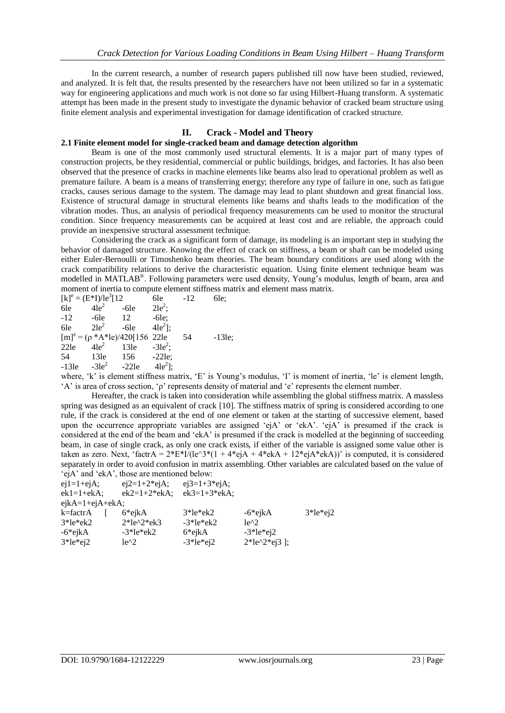In the current research, a number of research papers published till now have been studied, reviewed, and analyzed. It is felt that, the results presented by the researchers have not been utilized so far in a systematic way for engineering applications and much work is not done so far using Hilbert-Huang transform. A systematic attempt has been made in the present study to investigate the dynamic behavior of cracked beam structure using finite element analysis and experimental investigation for damage identification of cracked structure.

## **II. Crack - Model and Theory**

## **2.1 Finite element model for single-cracked beam and damage detection algorithm**

Beam is one of the most commonly used structural elements. It is a major part of many types of construction projects, be they residential, commercial or public buildings, bridges, and factories. It has also been observed that the presence of cracks in machine elements like beams also lead to operational problem as well as premature failure. A beam is a means of transferring energy; therefore any type of failure in one, such as fatigue cracks, causes serious damage to the system. The damage may lead to plant shutdown and great financial loss. Existence of structural damage in structural elements like beams and shafts leads to the modification of the vibration modes. Thus, an analysis of periodical frequency measurements can be used to monitor the structural condition. Since frequency measurements can be acquired at least cost and are reliable, the approach could provide an inexpensive structural assessment technique.

Considering the crack as a significant form of damage, its modeling is an important step in studying the behavior of damaged structure. Knowing the effect of crack on stiffness, a beam or shaft can be modeled using either Euler-Bernoulli or Timoshenko beam theories. The beam boundary conditions are used along with the crack compatibility relations to derive the characteristic equation. Using finite element technique beam was modelled in MATLAB®. Following parameters were used density, Young's modulus, length of beam, area and moment of inertia to compute element stiffness matrix and element mass matrix.

|         | $[k]$ <sup>e</sup> = $(E^*I)/Ie^3[12]$            |         | 6le          | $-12$ | 6le:     |
|---------|---------------------------------------------------|---------|--------------|-------|----------|
| 6le     | $4le^2$                                           | $-6le$  | $2le^2$ ;    |       |          |
| $-12$   | $-6le$                                            | 12      | $-6le;$      |       |          |
| 6le     | $2le^2$                                           | $-6le$  | $4le^2$ ];   |       |          |
|         | $[m]$ <sup>e</sup> = ( $\rho$ *A*le)/420[156 22le |         |              | 54    | $-13le;$ |
| 22le    | $41e^2$                                           | 13le    | $-3le2$ ;    |       |          |
| 54      | 13le                                              | 156     | $-22$ le;    |       |          |
| $-13le$ | $-3le2$                                           | $-22le$ | $4le^{2}$ ]; |       |          |

where, 'k' is element stiffness matrix, 'E' is Young's modulus, 'I' is moment of inertia, 'le' is element length, 'A' is area of cross section, 'ρ' represents density of material and 'e' represents the element number.

Hereafter, the crack is taken into consideration while assembling the global stiffness matrix. A massless spring was designed as an equivalent of crack [10]. The stiffness matrix of spring is considered according to one rule, if the crack is considered at the end of one element or taken at the starting of successive element, based upon the occurrence appropriate variables are assigned 'ejA' or 'ekA'. 'ejA' is presumed if the crack is considered at the end of the beam and 'ekA' is presumed if the crack is modelled at the beginning of succeeding beam, in case of single crack, as only one crack exists, if either of the variable is assigned some value other is taken as zero. Next, 'factr $A = 2*E*I/(ie^3*(1 + 4*eiA + 4*eiA + 12*eiA*ekA))$ ' is computed, it is considered separately in order to avoid confusion in matrix assembling. Other variables are calculated based on the value of 'ejA' and 'ekA', those are mentioned below:

| $ej2=1+2*ejA;$ |                   |                                                                    |                  |
|----------------|-------------------|--------------------------------------------------------------------|------------------|
| $ek2=1+2*ekA;$ |                   |                                                                    |                  |
|                |                   |                                                                    |                  |
| 6*ejkA         |                   | $-6$ *ejk $A$                                                      | $3*le*ej2$       |
| $2*le^2*ek3$   | $-3*le*ek2$       | $le^{2}2$                                                          |                  |
| $-3*le*ek2$    | 6*ejkA            | $-3*le*ei2$                                                        |                  |
| $le^{2}2$      |                   |                                                                    |                  |
|                | $ejkA=1+ejA+ekA;$ | $ej3=1+3*ejA;$<br>$ek3=1+3*ekA;$<br>$3*$ le $*$ ek2<br>$-3*le*ei2$ | $2*le^2+e^2$   : |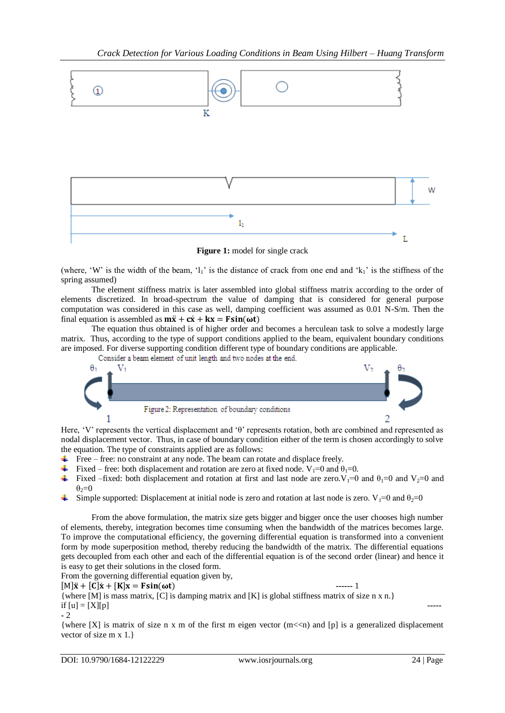

**Figure 1:** model for single crack

(where, 'W' is the width of the beam, 'l<sub>1</sub>' is the distance of crack from one end and 'k<sub>1</sub>' is the stiffness of the spring assumed)

The element stiffness matrix is later assembled into global stiffness matrix according to the order of elements discretized. In broad-spectrum the value of damping that is considered for general purpose computation was considered in this case as well, damping coefficient was assumed as 0.01 N-S/m. Then the final equation is assembled as  $m\ddot{x} + c\dot{x} + kx = F\sin(\omega t)$ 

The equation thus obtained is of higher order and becomes a herculean task to solve a modestly large matrix. Thus, according to the type of support conditions applied to the beam, equivalent boundary conditions are imposed. For diverse supporting condition different type of boundary conditions are applicable.<br>Consider a beam element of unit length and two nodes at the end.





Here, 'V' represents the vertical displacement and 'θ' represents rotation, both are combined and represented as nodal displacement vector. Thus, in case of boundary condition either of the term is chosen accordingly to solve the equation. The type of constraints applied are as follows:

- $\overline{\phantom{a} \overline{\phantom{a}}}$  Free free: no constraint at any node. The beam can rotate and displace freely.
- Fixed free: both displacement and rotation are zero at fixed node.  $V_1=0$  and  $\theta_1=0$ .
- Fixed –fixed: both displacement and rotation at first and last node are zero.  $V_1=0$  and  $\theta_1=0$  and  $V_2=0$  and  $\theta_2=0$
- Simple supported: Displacement at initial node is zero and rotation at last node is zero. V<sub>1</sub>=0 and  $\theta_2$ =0

From the above formulation, the matrix size gets bigger and bigger once the user chooses high number of elements, thereby, integration becomes time consuming when the bandwidth of the matrices becomes large. To improve the computational efficiency, the governing differential equation is transformed into a convenient form by mode superposition method, thereby reducing the bandwidth of the matrix. The differential equations gets decoupled from each other and each of the differential equation is of the second order (linear) and hence it is easy to get their solutions in the closed form.

From the governing differential equation given by,

 $[M]\ddot{x} + [C]\dot{x} + [K]x = F\sin(\omega t)$  ------ 1

{where [M] is mass matrix, [C] is damping matrix and [K] is global stiffness matrix of size n x n.} if  $[u] = [X][p]$ **-** 2

{where [X] is matrix of size n x m of the first m eigen vector  $(m < n)$  and [p] is a generalized displacement vector of size m x 1.}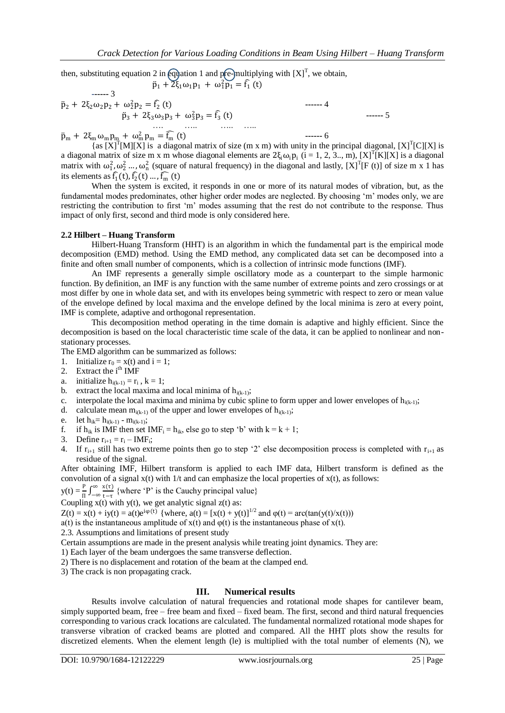then, substituting equation 2 in equation 1 and pre-multiplying with  $[X]^{T}$ , we obtain,  $\ddot{p}_1 + 2\xi_1 \omega_1 p_1 + \omega_1^2 \ddot{p}_1 = \hat{f}_1(t)$ 

$$
\ddot{p}_2 + 2\xi_2 \omega_2 p_2 + \omega_2^2 p_2 = \hat{f}_2(t) \qquad \qquad \text{---}4
$$
\n
$$
\ddot{p}_3 + 2\xi_3 \omega_3 p_3 + \omega_3^2 p_3 = \hat{f}_3(t) \qquad \qquad \text{---}4
$$
\n
$$
\ddot{p}_3 + 2\xi_3 \omega_3 p_3 + \omega_3^2 p_3 = \hat{f}_3(t) \qquad \qquad \text{---}5
$$

 $\ddot{p}_{m} + 2\xi_{m}\omega_{m}p_{m} + \omega_{m}^{2}p_{m} = \widehat{f_{m}}(t)$  ------ 6

{as  $[X]^T[M][X]$  is a diagonal matrix of size (m x m) with unity in the principal diagonal,  $[X]^T[C][X]$  is a diagonal matrix of size m x m whose diagonal elements are  $2\xi_i\omega_i p_i$  (i = 1, 2, 3.., m), [X]<sup>T</sup>[K][X] is a diagonal matrix with  $\omega_1^2, \omega_2^2, \dots, \omega_n^2$  (square of natural frequency) in the diagonal and lastly, [X]<sup>T</sup>[F (t)] of size m x 1 has its elements as  $\hat{f}_1(t)$ ,  $\hat{f}_2(t)$  ...,  $\hat{f}_m(t)$ 

When the system is excited, it responds in one or more of its natural modes of vibration, but, as the fundamental modes predominates, other higher order modes are neglected. By choosing 'm' modes only, we are restricting the contribution to first 'm' modes assuming that the rest do not contribute to the response. Thus impact of only first, second and third mode is only considered here.

### **2.2 Hilbert – Huang Transform**

Hilbert-Huang Transform (HHT) is an algorithm in which the fundamental part is the empirical mode decomposition (EMD) method. Using the EMD method, any complicated data set can be decomposed into a finite and often small number of components, which is a collection of intrinsic mode functions (IMF).

An IMF represents a generally simple oscillatory mode as a counterpart to the simple harmonic function. By definition, an IMF is any function with the same number of extreme points and zero crossings or at most differ by one in whole data set, and with its envelopes being symmetric with respect to zero or mean value of the envelope defined by local maxima and the envelope defined by the local minima is zero at every point, IMF is complete, adaptive and orthogonal representation.

This decomposition method operating in the time domain is adaptive and highly efficient. Since the decomposition is based on the local characteristic time scale of the data, it can be applied to nonlinear and nonstationary processes.

The EMD algorithm can be summarized as follows:

- 1. Initialize  $r_0 = x(t)$  and  $i = 1$ ;
- 2. Extract the  $i<sup>th</sup> IMF$
- a. initialize  $h_{i(k-1)} = r_i$ ,  $k = 1$ ;
- b. extract the local maxima and local minima of  $h_{i(k-1)}$ ;
- c. interpolate the local maxima and minima by cubic spline to form upper and lower envelopes of  $h_{i(k-1)}$ ;
- d. calculate mean  $m_{i(k-1)}$  of the upper and lower envelopes of  $h_{i(k-1)}$ ;
- e. let  $h_{ik} = h_{i(k-1)} m_{i(k-1)}$ ;
- f. if  $h_{ik}$  is IMF then set IMF<sub>i</sub> =  $h_{ik}$ , else go to step 'b' with  $k = k + 1$ ;
- 3. Define  $r_{i+1} = r_i IMF_i;$
- 4. If  $r_{i+1}$  still has two extreme points then go to step '2' else decomposition process is completed with  $r_{i+1}$  as residue of the signal.

After obtaining IMF, Hilbert transform is applied to each IMF data, Hilbert transform is defined as the convolution of a signal  $x(t)$  with 1/t and can emphasize the local properties of  $x(t)$ , as follows:

 $y(t) = \frac{P}{\Pi} \int_{-\infty}^{\infty} \frac{x(\tau)}{t-\tau}$ ∞  $\frac{x(t)}{-\infty}$  {where 'P' is the Cauchy principal value}

t−τ Coupling  $x(t)$  with  $y(t)$ , we get analytic signal  $z(t)$  as:

 $Z(t) = x(t) + iy(t) = a(t)e^{i\varphi(t)}$  {where,  $a(t) = [x(t) + y(t)]^{1/2}$  and  $\varphi(t) = \arctan(y(t)/x(t))$ }

a(t) is the instantaneous amplitude of  $x(t)$  and  $\varphi(t)$  is the instantaneous phase of  $x(t)$ .

2.3. Assumptions and limitations of present study

Certain assumptions are made in the present analysis while treating joint dynamics. They are:

1) Each layer of the beam undergoes the same transverse deflection.

2) There is no displacement and rotation of the beam at the clamped end.

3) The crack is non propagating crack.

### **III. Numerical results**

Results involve calculation of natural frequencies and rotational mode shapes for cantilever beam, simply supported beam, free – free beam and fixed – fixed beam. The first, second and third natural frequencies corresponding to various crack locations are calculated. The fundamental normalized rotational mode shapes for transverse vibration of cracked beams are plotted and compared. All the HHT plots show the results for discretized elements. When the element length (le) is multiplied with the total number of elements (N), we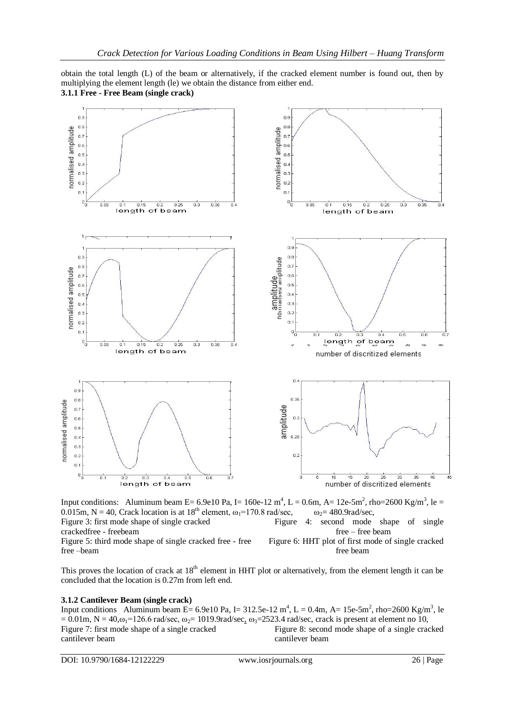obtain the total length (L) of the beam or alternatively, if the cracked element number is found out, then by multiplying the element length (le) we obtain the distance from either end. **3.1.1 Free - Free Beam (single crack)** 



Input conditions: Aluminum beam E= 6.9e10 Pa, I= 160e-12 m<sup>4</sup>, L = 0.6m, A= 12e-5m<sup>2</sup>, rho=2600 Kg/m<sup>3</sup>, le = 0.015m, N = 40, Crack location is at  $18^{th}$  element,  $\omega_1 = 170.8$  rad/sec,  $\omega_2 = 480.9$ rad/sec, Figure 3: first mode shape of single cracked Figure 4: second mode shape of single

crackedfree - freebeam free – free beam

Figure 5: third mode shape of single cracked free - free Figure 6: HHT plot of first mode of single cracked free –beam free beam

This proves the location of crack at  $18<sup>th</sup>$  element in HHT plot or alternatively, from the element length it can be concluded that the location is 0.27m from left end.

## **3.1.2 Cantilever Beam (single crack)**

Input conditions Aluminum beam E= 6.9e10 Pa, I= 312.5e-12 m<sup>4</sup>, L = 0.4m, A= 15e-5m<sup>2</sup>, rho=2600 Kg/m<sup>3</sup>, le  $= 0.01$ m, N = 40, $\omega_1$ =126.6 rad/sec,  $\omega_2$ = 1019.9rad/sec,  $\omega_3$ =2523.4 rad/sec, crack is present at element no 10, Figure 7: first mode shape of a single cracked Figure 8: second mode shape of a single cracked cantilever beam cantilever beam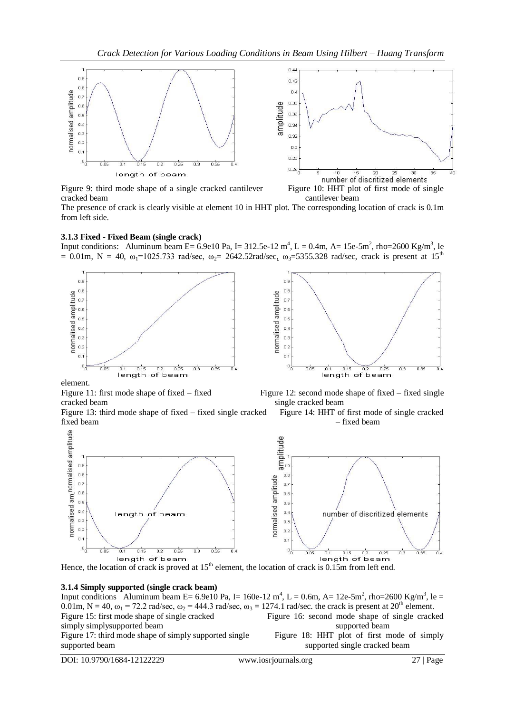

cracked beam cantilever beam

The presence of crack is clearly visible at element 10 in HHT plot. The corresponding location of crack is 0.1m from left side.

#### **3.1.3 Fixed - Fixed Beam (single crack)**

Input conditions: Aluminum beam E= 6.9e10 Pa, I= 312.5e-12  $m^4$ , L = 0.4m, A= 15e-5m<sup>2</sup>, rho=2600 Kg/m<sup>3</sup>, le = 0.01m, N = 40,  $\omega_1$ =1025.733 rad/sec,  $\omega_2$ = 2642.52rad/sec,  $\omega_3$ =5355.328 rad/sec, crack is present at 15<sup>th</sup>



element.

cracked beam single cracked beam

Figure 13: third mode shape of fixed – fixed single cracked Figure 14: HHT of first mode of single cracked fixed beam – fixed beam – fixed beam – fixed beam – fixed beam – fixed beam – fixed beam – fixed beam – fixed beam – fixed beam – fixed beam – fixed beam – fixed beam – fixed beam – fixed beam – fixed beam – fixed beam – f



Figure 11: first mode shape of fixed – fixed Figure 12: second mode shape of fixed – fixed single



#### **3.1.4 Simply supported (single crack beam)**

Input conditions Aluminum beam E= 6.9e10 Pa, I= 160e-12 m<sup>4</sup>, L = 0.6m, A= 12e-5m<sup>2</sup>, rho=2600 Kg/m<sup>3</sup>, le = 0.01m, N = 40,  $\omega_1$  = 72.2 rad/sec,  $\omega_2$  = 444.3 rad/sec,  $\omega_3$  = 1274.1 rad/sec. the crack is present at 20<sup>th</sup> element.<br>Figure 15: first mode shape of single cracked<br>Figure 16: second mode shape of single crack Figure 16: second mode shape of single cracked simply simplysupported beam<br>Figure 17: third mode shape of simply supported single<br>Figure 18: HHT plot of first mode of simply Figure 17: third mode shape of simply supported single supported beam supported beam supported single cracked beam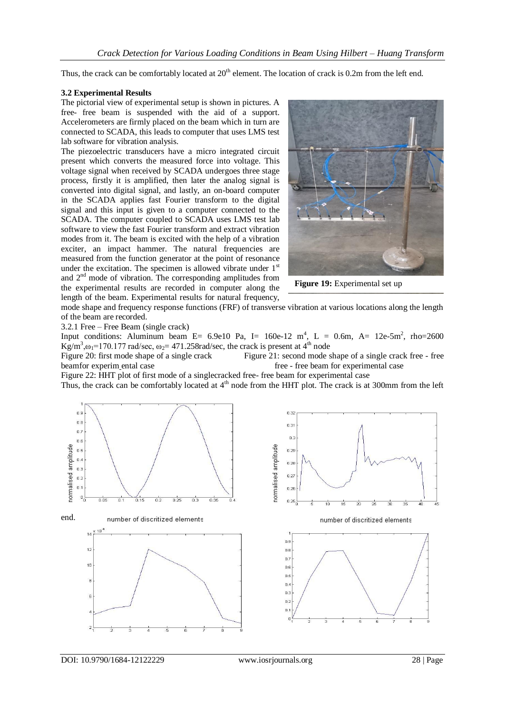Thus, the crack can be comfortably located at  $20<sup>th</sup>$  element. The location of crack is 0.2m from the left end.

#### **3.2 Experimental Results**

The pictorial view of experimental setup is shown in pictures. A free- free beam is suspended with the aid of a support. Accelerometers are firmly placed on the beam which in turn are connected to SCADA, this leads to computer that uses LMS test lab software for vibration analysis.

The piezoelectric transducers have a micro integrated circuit present which converts the measured force into voltage. This voltage signal when received by SCADA undergoes three stage process, firstly it is amplified, then later the analog signal is converted into digital signal, and lastly, an on-board computer in the SCADA applies fast Fourier transform to the digital signal and this input is given to a computer connected to the SCADA. The computer coupled to SCADA uses LMS test lab software to view the fast Fourier transform and extract vibration modes from it. The beam is excited with the help of a vibration exciter, an impact hammer. The natural frequencies are measured from the function generator at the point of resonance under the excitation. The specimen is allowed vibrate under  $1<sup>st</sup>$ and 2nd mode of vibration. The corresponding amplitudes from the experimental results are recorded in computer along the length of the beam. Experimental results for natural frequency,



**Figure 19:** Experimental set up

mode shape and frequency response functions (FRF) of transverse vibration at various locations along the length of the beam are recorded.

3.2.1 Free – Free Beam (single crack)

Input conditions: Aluminum beam E= 6.9e10 Pa, I= 160e-12  $m^4$ , L = 0.6m, A= 12e-5m<sup>2</sup>, rho=2600  $\text{Kg/m}^3$ , $\omega_1$ =170.177 rad/sec,  $\omega_2$ = 471.258rad/sec, the crack is present at 4<sup>th</sup> node

Figure 20: first mode shape of a single crack Figure 21: second mode shape of a single crack free - free beamfor experim ental case free - free beam for experimental case

Figure 22: HHT plot of first mode of a singlecracked free- free beam for experimental case Thus, the crack can be comfortably located at  $4<sup>th</sup>$  node from the HHT plot. The crack is at 300mm from the left





number of discritized elements